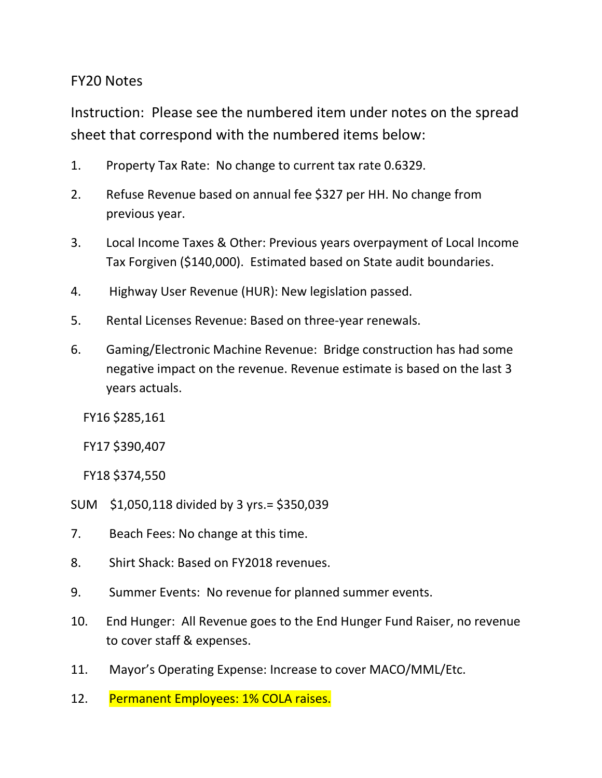## FY20 Notes

Instruction: Please see the numbered item under notes on the spread sheet that correspond with the numbered items below:

- 1. Property Tax Rate: No change to current tax rate 0.6329.
- 2. Refuse Revenue based on annual fee \$327 per HH. No change from previous year.
- 3. Local Income Taxes & Other: Previous years overpayment of Local Income Tax Forgiven (\$140,000). Estimated based on State audit boundaries.
- 4. Highway User Revenue (HUR): New legislation passed.
- 5. Rental Licenses Revenue: Based on three-year renewals.
- 6. Gaming/Electronic Machine Revenue: Bridge construction has had some negative impact on the revenue. Revenue estimate is based on the last 3 years actuals.

FY16 \$285,161

FY17 \$390,407

FY18 \$374,550

- SUM \$1,050,118 divided by 3 yrs.= \$350,039
- 7. Beach Fees: No change at this time.
- 8. Shirt Shack: Based on FY2018 revenues.
- 9. Summer Events: No revenue for planned summer events.
- 10. End Hunger: All Revenue goes to the End Hunger Fund Raiser, no revenue to cover staff & expenses.
- 11. Mayor's Operating Expense: Increase to cover MACO/MML/Etc.
- 12. Permanent Employees: 1% COLA raises.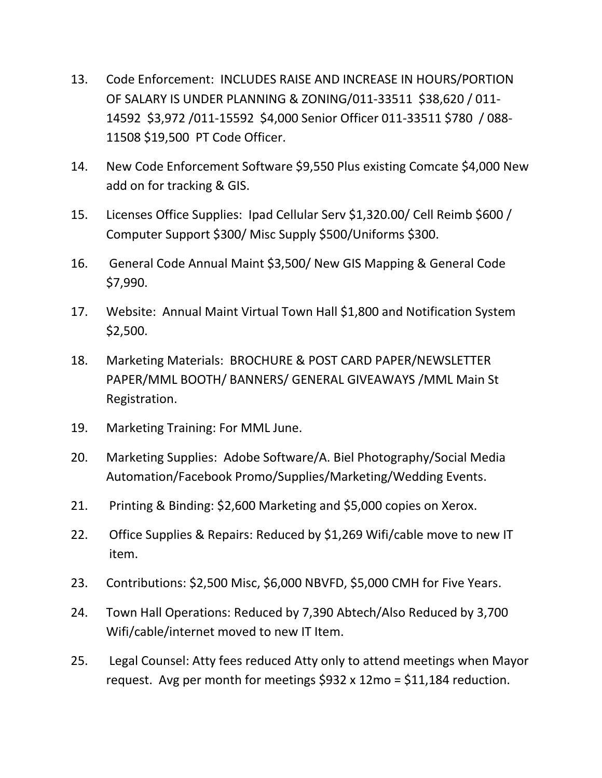- 13. Code Enforcement: INCLUDES RAISE AND INCREASE IN HOURS/PORTION OF SALARY IS UNDER PLANNING & ZONING/011-33511 \$38,620 / 011- 14592 \$3,972 /011-15592 \$4,000 Senior Officer 011-33511 \$780 / 088- 11508 \$19,500 PT Code Officer.
- 14. New Code Enforcement Software \$9,550 Plus existing Comcate \$4,000 New add on for tracking & GIS.
- 15. Licenses Office Supplies: Ipad Cellular Serv \$1,320.00/ Cell Reimb \$600 / Computer Support \$300/ Misc Supply \$500/Uniforms \$300.
- 16. General Code Annual Maint \$3,500/ New GIS Mapping & General Code \$7,990.
- 17. Website: Annual Maint Virtual Town Hall \$1,800 and Notification System \$2,500.
- 18. Marketing Materials: BROCHURE & POST CARD PAPER/NEWSLETTER PAPER/MML BOOTH/ BANNERS/ GENERAL GIVEAWAYS /MML Main St Registration.
- 19. Marketing Training: For MML June.
- 20. Marketing Supplies: Adobe Software/A. Biel Photography/Social Media Automation/Facebook Promo/Supplies/Marketing/Wedding Events.
- 21. Printing & Binding: \$2,600 Marketing and \$5,000 copies on Xerox.
- 22. Office Supplies & Repairs: Reduced by \$1,269 Wifi/cable move to new IT item.
- 23. Contributions: \$2,500 Misc, \$6,000 NBVFD, \$5,000 CMH for Five Years.
- 24. Town Hall Operations: Reduced by 7,390 Abtech/Also Reduced by 3,700 Wifi/cable/internet moved to new IT Item.
- 25. Legal Counsel: Atty fees reduced Atty only to attend meetings when Mayor request. Avg per month for meetings  $$932 \times 12$ mo =  $$11,184$  reduction.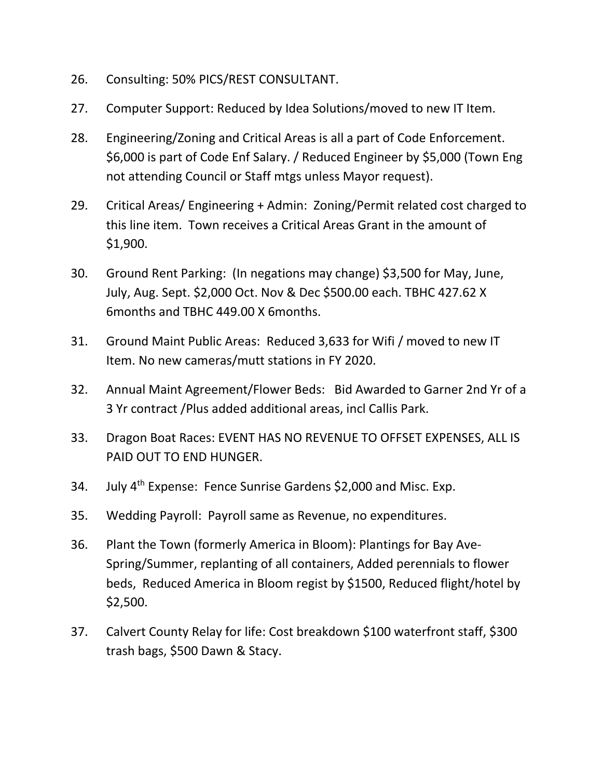- 26. Consulting: 50% PICS/REST CONSULTANT.
- 27. Computer Support: Reduced by Idea Solutions/moved to new IT Item.
- 28. Engineering/Zoning and Critical Areas is all a part of Code Enforcement. \$6,000 is part of Code Enf Salary. / Reduced Engineer by \$5,000 (Town Eng not attending Council or Staff mtgs unless Mayor request).
- 29. Critical Areas/ Engineering + Admin: Zoning/Permit related cost charged to this line item. Town receives a Critical Areas Grant in the amount of \$1,900.
- 30. Ground Rent Parking: (In negations may change) \$3,500 for May, June, July, Aug. Sept. \$2,000 Oct. Nov & Dec \$500.00 each. TBHC 427.62 X 6months and TBHC 449.00 X 6months.
- 31. Ground Maint Public Areas: Reduced 3,633 for Wifi / moved to new IT Item. No new cameras/mutt stations in FY 2020.
- 32. Annual Maint Agreement/Flower Beds: Bid Awarded to Garner 2nd Yr of a 3 Yr contract /Plus added additional areas, incl Callis Park.
- 33. Dragon Boat Races: EVENT HAS NO REVENUE TO OFFSET EXPENSES, ALL IS PAID OUT TO END HUNGER.
- 34. July 4<sup>th</sup> Expense: Fence Sunrise Gardens \$2,000 and Misc. Exp.
- 35. Wedding Payroll: Payroll same as Revenue, no expenditures.
- 36. Plant the Town (formerly America in Bloom): Plantings for Bay Ave-Spring/Summer, replanting of all containers, Added perennials to flower beds, Reduced America in Bloom regist by \$1500, Reduced flight/hotel by \$2,500.
- 37. Calvert County Relay for life: Cost breakdown \$100 waterfront staff, \$300 trash bags, \$500 Dawn & Stacy.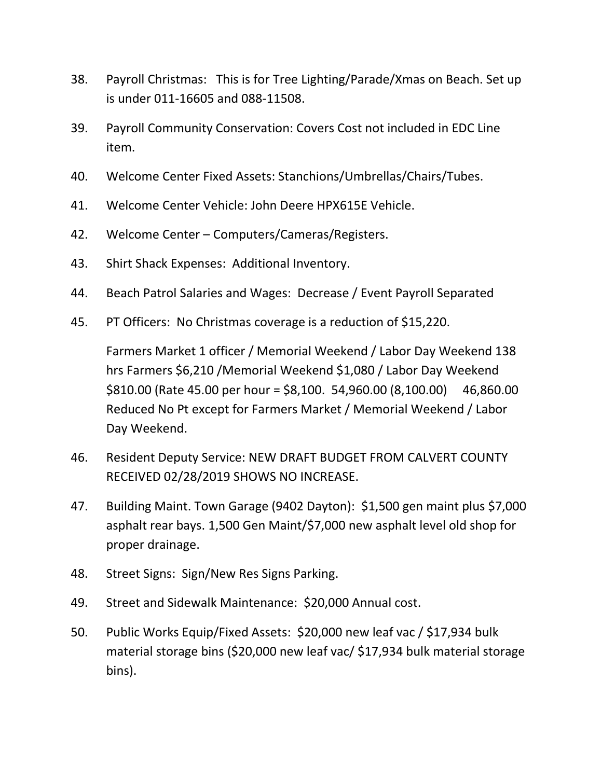- 38. Payroll Christmas: This is for Tree Lighting/Parade/Xmas on Beach. Set up is under 011-16605 and 088-11508.
- 39. Payroll Community Conservation: Covers Cost not included in EDC Line item.
- 40. Welcome Center Fixed Assets: Stanchions/Umbrellas/Chairs/Tubes.
- 41. Welcome Center Vehicle: John Deere HPX615E Vehicle.
- 42. Welcome Center Computers/Cameras/Registers.
- 43. Shirt Shack Expenses: Additional Inventory.
- 44. Beach Patrol Salaries and Wages: Decrease / Event Payroll Separated
- 45. PT Officers: No Christmas coverage is a reduction of \$15,220.

Farmers Market 1 officer / Memorial Weekend / Labor Day Weekend 138 hrs Farmers \$6,210 /Memorial Weekend \$1,080 / Labor Day Weekend \$810.00 (Rate 45.00 per hour = \$8,100. 54,960.00 (8,100.00) 46,860.00 Reduced No Pt except for Farmers Market / Memorial Weekend / Labor Day Weekend.

- 46. Resident Deputy Service: NEW DRAFT BUDGET FROM CALVERT COUNTY RECEIVED 02/28/2019 SHOWS NO INCREASE.
- 47. Building Maint. Town Garage (9402 Dayton): \$1,500 gen maint plus \$7,000 asphalt rear bays. 1,500 Gen Maint/\$7,000 new asphalt level old shop for proper drainage.
- 48. Street Signs: Sign/New Res Signs Parking.
- 49. Street and Sidewalk Maintenance: \$20,000 Annual cost.
- 50. Public Works Equip/Fixed Assets: \$20,000 new leaf vac / \$17,934 bulk material storage bins (\$20,000 new leaf vac/ \$17,934 bulk material storage bins).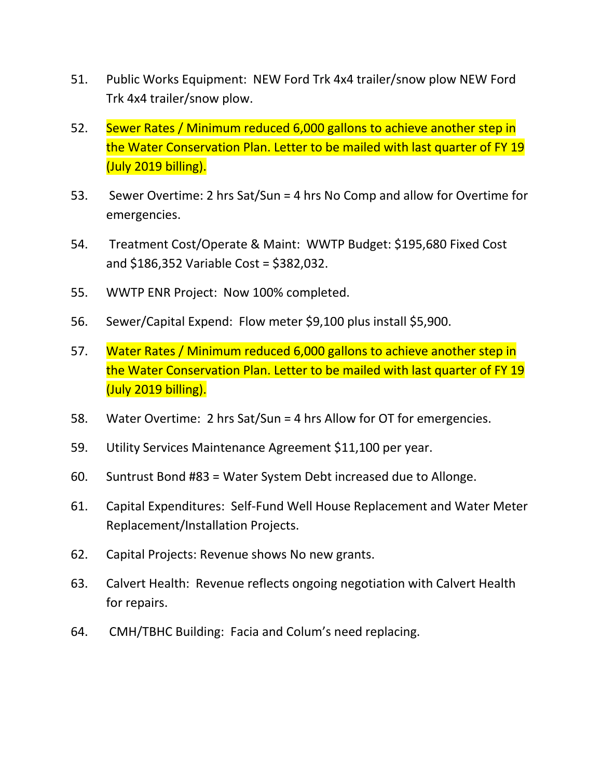- 51. Public Works Equipment: NEW Ford Trk 4x4 trailer/snow plow NEW Ford Trk 4x4 trailer/snow plow.
- 52. Sewer Rates / Minimum reduced 6,000 gallons to achieve another step in the Water Conservation Plan. Letter to be mailed with last quarter of FY 19 (July 2019 billing).
- 53. Sewer Overtime: 2 hrs Sat/Sun = 4 hrs No Comp and allow for Overtime for emergencies.
- 54. Treatment Cost/Operate & Maint: WWTP Budget: \$195,680 Fixed Cost and \$186,352 Variable Cost = \$382,032.
- 55. WWTP ENR Project: Now 100% completed.
- 56. Sewer/Capital Expend: Flow meter \$9,100 plus install \$5,900.
- 57. Water Rates / Minimum reduced 6,000 gallons to achieve another step in the Water Conservation Plan. Letter to be mailed with last quarter of FY 19 (July 2019 billing).
- 58. Water Overtime: 2 hrs Sat/Sun = 4 hrs Allow for OT for emergencies.
- 59. Utility Services Maintenance Agreement \$11,100 per year.
- 60. Suntrust Bond #83 = Water System Debt increased due to Allonge.
- 61. Capital Expenditures: Self-Fund Well House Replacement and Water Meter Replacement/Installation Projects.
- 62. Capital Projects: Revenue shows No new grants.
- 63. Calvert Health: Revenue reflects ongoing negotiation with Calvert Health for repairs.
- 64. CMH/TBHC Building: Facia and Colum's need replacing.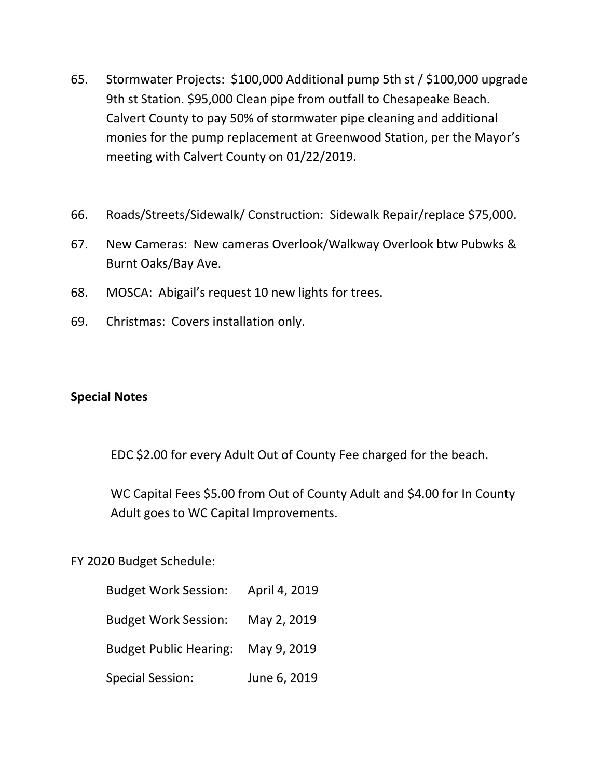- 65. Stormwater Projects: \$100,000 Additional pump 5th st / \$100,000 upgrade 9th st Station. \$95,000 Clean pipe from outfall to Chesapeake Beach. Calvert County to pay 50% of stormwater pipe cleaning and additional monies for the pump replacement at Greenwood Station, per the Mayor's meeting with Calvert County on 01/22/2019.
- 66. Roads/Streets/Sidewalk/ Construction: Sidewalk Repair/replace \$75,000.
- 67. New Cameras: New cameras Overlook/Walkway Overlook btw Pubwks & Burnt Oaks/Bay Ave.
- 68. MOSCA: Abigail's request 10 new lights for trees.
- 69. Christmas: Covers installation only.

## **Special Notes**

EDC \$2.00 for every Adult Out of County Fee charged for the beach.

WC Capital Fees \$5.00 from Out of County Adult and \$4.00 for In County Adult goes to WC Capital Improvements.

FY 2020 Budget Schedule:

| <b>Budget Work Session:</b>   | April 4, 2019 |
|-------------------------------|---------------|
| <b>Budget Work Session:</b>   | May 2, 2019   |
| <b>Budget Public Hearing:</b> | May 9, 2019   |
| <b>Special Session:</b>       | June 6, 2019  |